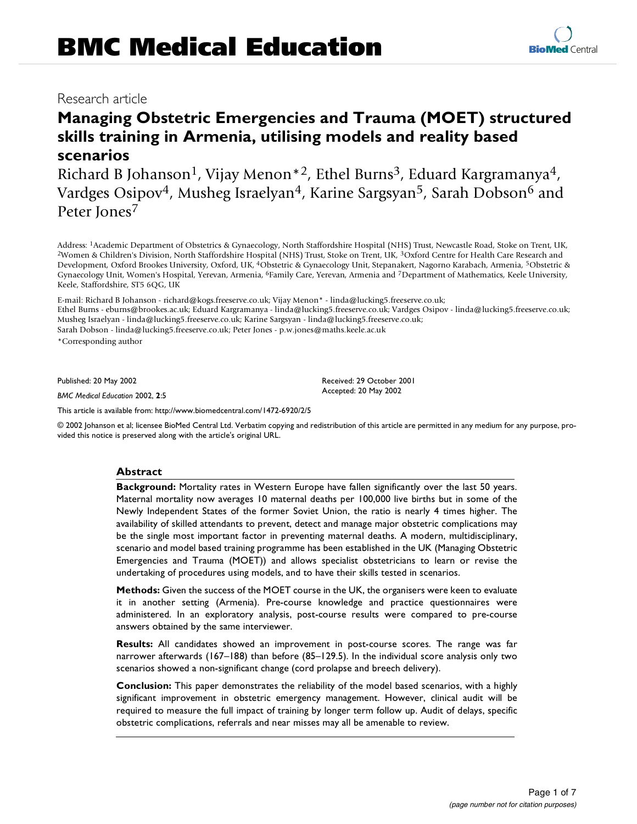# Research article

# **Managing Obstetric Emergencies and Trauma (MOET) structured skills training in Armenia, utilising models and reality based scenarios**

Richard B Johanson<sup>1</sup>, Vijay Menon<sup>\*2</sup>, Ethel Burns<sup>3</sup>, Eduard Kargramanya<sup>4</sup>, Vardges Osipov<sup>4</sup>, Musheg Israelyan<sup>4</sup>, Karine Sargsyan<sup>5</sup>, Sarah Dobson<sup>6</sup> and Peter Jones<sup>7</sup>

Address: <sup>1</sup>Academic Department of Obstetrics & Gynaecology, North Staffordshire Hospital (NHS) Trust, Newcastle Road, Stoke on Trent, UK, <sup>2</sup>Women & Children's Division, North Staffordshire Hospital (NHS) Trust, Stoke on Development, Oxford Brookes University, Oxford, UK, 4Obstetric & Gynaecology Unit, Stepanakert, Nagorno Karabach, Armenia, 5Obstetric & Gynaecology Unit, Women's Hospital, Yerevan, Armenia, 6Family Care, Yerevan, Armenia and 7Department of Mathematics, Keele University, Keele, Staffordshire, ST5 6QG, UK

E-mail: Richard B Johanson - richard@kogs.freeserve.co.uk; Vijay Menon\* - linda@lucking5.freeserve.co.uk; Ethel Burns - eburns@brookes.ac.uk; Eduard Kargramanya - linda@lucking5.freeserve.co.uk; Vardges Osipov - linda@lucking5.freeserve.co.uk; Musheg Israelyan - linda@lucking5.freeserve.co.uk; Karine Sargsyan - linda@lucking5.freeserve.co.uk; Sarah Dobson - linda@lucking5.freeserve.co.uk; Peter Jones - p.w.jones@maths.keele.ac.uk \*Corresponding author

Published: 20 May 2002

*BMC Medical Education* 2002, **2**:5

[This article is available from: http://www.biomedcentral.com/1472-6920/2/5](http://www.biomedcentral.com/1472-6920/2/5)

© 2002 Johanson et al; licensee BioMed Central Ltd. Verbatim copying and redistribution of this article are permitted in any medium for any purpose, provided this notice is preserved along with the article's original URL.

Received: 29 October 2001 Accepted: 20 May 2002

#### **Abstract**

**Background:** Mortality rates in Western Europe have fallen significantly over the last 50 years. Maternal mortality now averages 10 maternal deaths per 100,000 live births but in some of the Newly Independent States of the former Soviet Union, the ratio is nearly 4 times higher. The availability of skilled attendants to prevent, detect and manage major obstetric complications may be the single most important factor in preventing maternal deaths. A modern, multidisciplinary, scenario and model based training programme has been established in the UK (Managing Obstetric Emergencies and Trauma (MOET)) and allows specialist obstetricians to learn or revise the undertaking of procedures using models, and to have their skills tested in scenarios.

**Methods:** Given the success of the MOET course in the UK, the organisers were keen to evaluate it in another setting (Armenia). Pre-course knowledge and practice questionnaires were administered. In an exploratory analysis, post-course results were compared to pre-course answers obtained by the same interviewer.

**Results:** All candidates showed an improvement in post-course scores. The range was far narrower afterwards (167–188) than before (85–129.5). In the individual score analysis only two scenarios showed a non-significant change (cord prolapse and breech delivery).

**Conclusion:** This paper demonstrates the reliability of the model based scenarios, with a highly significant improvement in obstetric emergency management. However, clinical audit will be required to measure the full impact of training by longer term follow up. Audit of delays, specific obstetric complications, referrals and near misses may all be amenable to review.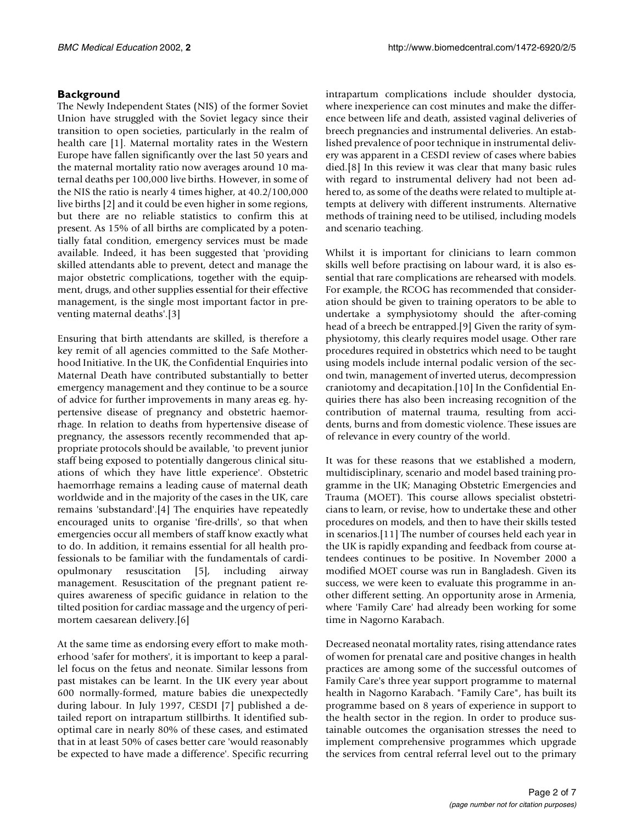# **Background**

The Newly Independent States (NIS) of the former Soviet Union have struggled with the Soviet legacy since their transition to open societies, particularly in the realm of health care [1]. Maternal mortality rates in the Western Europe have fallen significantly over the last 50 years and the maternal mortality ratio now averages around 10 maternal deaths per 100,000 live births. However, in some of the NIS the ratio is nearly 4 times higher, at 40.2/100,000 live births [2] and it could be even higher in some regions, but there are no reliable statistics to confirm this at present. As 15% of all births are complicated by a potentially fatal condition, emergency services must be made available. Indeed, it has been suggested that 'providing skilled attendants able to prevent, detect and manage the major obstetric complications, together with the equipment, drugs, and other supplies essential for their effective management, is the single most important factor in preventing maternal deaths'.[3]

Ensuring that birth attendants are skilled, is therefore a key remit of all agencies committed to the Safe Motherhood Initiative. In the UK, the Confidential Enquiries into Maternal Death have contributed substantially to better emergency management and they continue to be a source of advice for further improvements in many areas eg. hypertensive disease of pregnancy and obstetric haemorrhage. In relation to deaths from hypertensive disease of pregnancy, the assessors recently recommended that appropriate protocols should be available, 'to prevent junior staff being exposed to potentially dangerous clinical situations of which they have little experience'. Obstetric haemorrhage remains a leading cause of maternal death worldwide and in the majority of the cases in the UK, care remains 'substandard'.[4] The enquiries have repeatedly encouraged units to organise 'fire-drills', so that when emergencies occur all members of staff know exactly what to do. In addition, it remains essential for all health professionals to be familiar with the fundamentals of cardiopulmonary resuscitation [5], including airway management. Resuscitation of the pregnant patient requires awareness of specific guidance in relation to the tilted position for cardiac massage and the urgency of perimortem caesarean delivery.[6]

At the same time as endorsing every effort to make motherhood 'safer for mothers', it is important to keep a parallel focus on the fetus and neonate. Similar lessons from past mistakes can be learnt. In the UK every year about 600 normally-formed, mature babies die unexpectedly during labour. In July 1997, CESDI [7] published a detailed report on intrapartum stillbirths. It identified suboptimal care in nearly 80% of these cases, and estimated that in at least 50% of cases better care 'would reasonably be expected to have made a difference'. Specific recurring intrapartum complications include shoulder dystocia, where inexperience can cost minutes and make the difference between life and death, assisted vaginal deliveries of breech pregnancies and instrumental deliveries. An established prevalence of poor technique in instrumental delivery was apparent in a CESDI review of cases where babies died.[8] In this review it was clear that many basic rules with regard to instrumental delivery had not been adhered to, as some of the deaths were related to multiple attempts at delivery with different instruments. Alternative methods of training need to be utilised, including models and scenario teaching.

Whilst it is important for clinicians to learn common skills well before practising on labour ward, it is also essential that rare complications are rehearsed with models. For example, the RCOG has recommended that consideration should be given to training operators to be able to undertake a symphysiotomy should the after-coming head of a breech be entrapped.[9] Given the rarity of symphysiotomy, this clearly requires model usage. Other rare procedures required in obstetrics which need to be taught using models include internal podalic version of the second twin, management of inverted uterus, decompression craniotomy and decapitation.[10] In the Confidential Enquiries there has also been increasing recognition of the contribution of maternal trauma, resulting from accidents, burns and from domestic violence. These issues are of relevance in every country of the world.

It was for these reasons that we established a modern, multidisciplinary, scenario and model based training programme in the UK; Managing Obstetric Emergencies and Trauma (MOET). This course allows specialist obstetricians to learn, or revise, how to undertake these and other procedures on models, and then to have their skills tested in scenarios.[11] The number of courses held each year in the UK is rapidly expanding and feedback from course attendees continues to be positive. In November 2000 a modified MOET course was run in Bangladesh. Given its success, we were keen to evaluate this programme in another different setting. An opportunity arose in Armenia, where 'Family Care' had already been working for some time in Nagorno Karabach.

Decreased neonatal mortality rates, rising attendance rates of women for prenatal care and positive changes in health practices are among some of the successful outcomes of Family Care's three year support programme to maternal health in Nagorno Karabach. "Family Care", has built its programme based on 8 years of experience in support to the health sector in the region. In order to produce sustainable outcomes the organisation stresses the need to implement comprehensive programmes which upgrade the services from central referral level out to the primary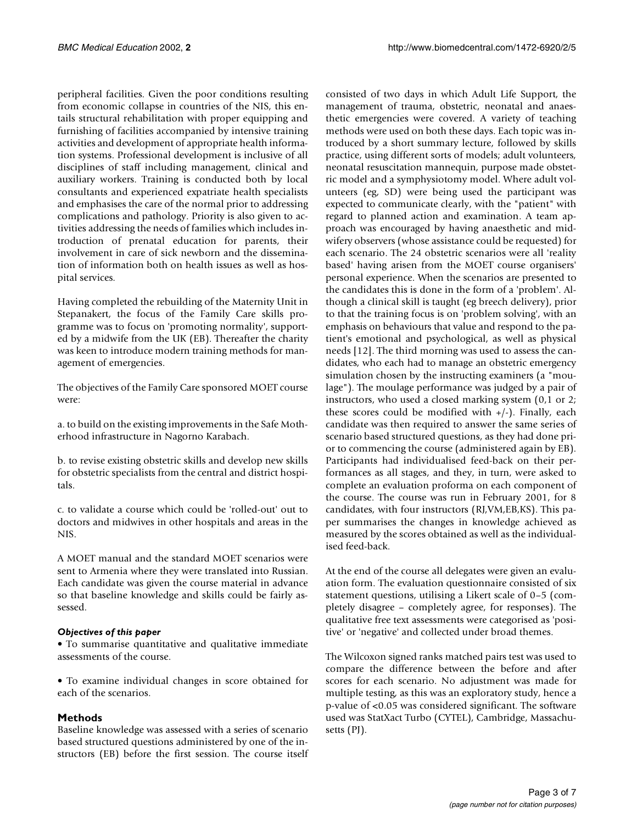peripheral facilities. Given the poor conditions resulting from economic collapse in countries of the NIS, this entails structural rehabilitation with proper equipping and furnishing of facilities accompanied by intensive training activities and development of appropriate health information systems. Professional development is inclusive of all disciplines of staff including management, clinical and auxiliary workers. Training is conducted both by local consultants and experienced expatriate health specialists and emphasises the care of the normal prior to addressing complications and pathology. Priority is also given to activities addressing the needs of families which includes introduction of prenatal education for parents, their involvement in care of sick newborn and the dissemination of information both on health issues as well as hospital services.

Having completed the rebuilding of the Maternity Unit in Stepanakert, the focus of the Family Care skills programme was to focus on 'promoting normality', supported by a midwife from the UK (EB). Thereafter the charity was keen to introduce modern training methods for management of emergencies.

The objectives of the Family Care sponsored MOET course were:

a. to build on the existing improvements in the Safe Motherhood infrastructure in Nagorno Karabach.

b. to revise existing obstetric skills and develop new skills for obstetric specialists from the central and district hospitals.

c. to validate a course which could be 'rolled-out' out to doctors and midwives in other hospitals and areas in the NIS.

A MOET manual and the standard MOET scenarios were sent to Armenia where they were translated into Russian. Each candidate was given the course material in advance so that baseline knowledge and skills could be fairly assessed.

#### *Objectives of this paper*

• To summarise quantitative and qualitative immediate assessments of the course.

• To examine individual changes in score obtained for each of the scenarios.

## **Methods**

Baseline knowledge was assessed with a series of scenario based structured questions administered by one of the instructors (EB) before the first session. The course itself consisted of two days in which Adult Life Support, the management of trauma, obstetric, neonatal and anaesthetic emergencies were covered. A variety of teaching methods were used on both these days. Each topic was introduced by a short summary lecture, followed by skills practice, using different sorts of models; adult volunteers, neonatal resuscitation mannequin, purpose made obstetric model and a symphysiotomy model. Where adult volunteers (eg, SD) were being used the participant was expected to communicate clearly, with the "patient" with regard to planned action and examination. A team approach was encouraged by having anaesthetic and midwifery observers (whose assistance could be requested) for each scenario. The 24 obstetric scenarios were all 'reality based' having arisen from the MOET course organisers' personal experience. When the scenarios are presented to the candidates this is done in the form of a 'problem'. Although a clinical skill is taught (eg breech delivery), prior to that the training focus is on 'problem solving', with an emphasis on behaviours that value and respond to the patient's emotional and psychological, as well as physical needs [12]. The third morning was used to assess the candidates, who each had to manage an obstetric emergency simulation chosen by the instructing examiners (a "moulage"). The moulage performance was judged by a pair of instructors, who used a closed marking system (0,1 or 2; these scores could be modified with  $+/-$ ). Finally, each candidate was then required to answer the same series of scenario based structured questions, as they had done prior to commencing the course (administered again by EB). Participants had individualised feed-back on their performances as all stages, and they, in turn, were asked to complete an evaluation proforma on each component of the course. The course was run in February 2001, for 8 candidates, with four instructors (RJ,VM,EB,KS). This paper summarises the changes in knowledge achieved as measured by the scores obtained as well as the individualised feed-back.

At the end of the course all delegates were given an evaluation form. The evaluation questionnaire consisted of six statement questions, utilising a Likert scale of 0–5 (completely disagree – completely agree, for responses). The qualitative free text assessments were categorised as 'positive' or 'negative' and collected under broad themes.

The Wilcoxon signed ranks matched pairs test was used to compare the difference between the before and after scores for each scenario. No adjustment was made for multiple testing, as this was an exploratory study, hence a p-value of <0.05 was considered significant. The software used was StatXact Turbo (CYTEL), Cambridge, Massachusetts (PJ).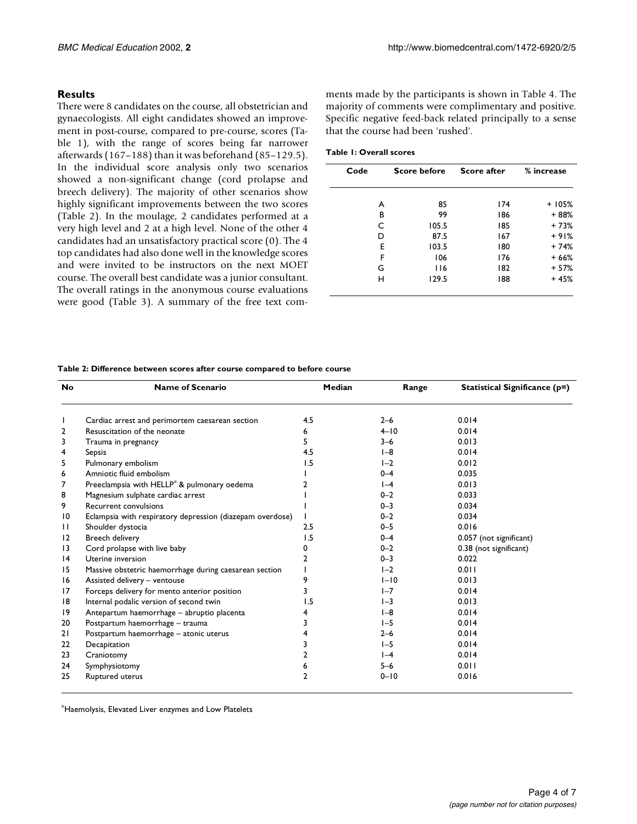#### **Results**

<span id="page-3-0"></span>There were 8 candidates on the course, all obstetrician and gynaecologists. All eight candidates showed an improvement in post-course, compared to pre-course, scores (Table [1](#page-3-0)), with the range of scores being far narrower afterwards (167–188) than it was beforehand (85–129.5). In the individual score analysis only two scenarios showed a non-significant change (cord prolapse and breech delivery). The majority of other scenarios show highly significant improvements between the two scores (Table [2](#page-3-0)). In the moulage, 2 candidates performed at a very high level and 2 at a high level. None of the other 4 candidates had an unsatisfactory practical score (0). The 4 top candidates had also done well in the knowledge scores and were invited to be instructors on the next MOET course. The overall best candidate was a junior consultant. The overall ratings in the anonymous course evaluations were good (Table [3](#page-3-0)). A summary of the free text com-

ments made by the participants is shown in Table 4. The majority of comments were complimentary and positive. Specific negative feed-back related principally to a sense that the course had been 'rushed'.

|  | <b>Table 1: Overall scores</b> |  |
|--|--------------------------------|--|
|  |                                |  |

|       | <b>Score after</b> | % increase |  |
|-------|--------------------|------------|--|
| 85    | 174                | $+105%$    |  |
| 99    | 186                | + 88%      |  |
| 105.5 | 185                | $+73%$     |  |
| 87.5  | 167                | $+91%$     |  |
| 103.5 | 180                | $+74%$     |  |
| 106   | 176                | $+66%$     |  |
| 116   | 182                | $+57%$     |  |
| 129.5 | 188                | $+45%$     |  |
|       |                    |            |  |

#### **Table 2: Difference between scores after course compared to before course**

| <b>No</b>       | Name of Scenario                                          | Median | Range    | Statistical Significance (p=) |
|-----------------|-----------------------------------------------------------|--------|----------|-------------------------------|
| $\mathbf{I}$    | Cardiac arrest and perimortem caesarean section           | 4.5    | $2 - 6$  | 0.014                         |
| 2               | Resuscitation of the neonate                              | 6      | $4 - 10$ | 0.014                         |
| 3               | Trauma in pregnancy                                       |        | $3 - 6$  | 0.013                         |
| 4               | Sepsis                                                    | 4.5    | $I - 8$  | 0.014                         |
| 5               | Pulmonary embolism                                        | 1.5    | $I-2$    | 0.012                         |
| 6               | Amniotic fluid embolism                                   |        | $0 - 4$  | 0.035                         |
| 7               | Preeclampsia with HELLP <sup>*</sup> & pulmonary oedema   |        | $1-4$    | 0.013                         |
| 8               | Magnesium sulphate cardiac arrest                         |        | $0 - 2$  | 0.033                         |
| 9               | <b>Recurrent convulsions</b>                              |        | $0 - 3$  | 0.034                         |
| $\overline{10}$ | Eclampsia with respiratory depression (diazepam overdose) |        | $0 - 2$  | 0.034                         |
| $\mathbf{H}$    | Shoulder dystocia                                         | 2.5    | $0 - 5$  | 0.016                         |
| 12              | Breech delivery                                           | 1.5    | $0 - 4$  | 0.057 (not significant)       |
| $\overline{13}$ | Cord prolapse with live baby                              |        | $0 - 2$  | 0.38 (not significant)        |
| 4               | Uterine inversion                                         |        | $0 - 3$  | 0.022                         |
| 15              | Massive obstetric haemorrhage during caesarean section    |        | $I-2$    | 0.011                         |
| 16              | Assisted delivery - ventouse                              | 9      | $I-I0$   | 0.013                         |
| 17              | Forceps delivery for mento anterior position              |        | $I - 7$  | 0.014                         |
| 18              | Internal podalic version of second twin                   | 1.5    | $-3$     | 0.013                         |
| 19              | Antepartum haemorrhage - abruptio placenta                |        | $I - 8$  | 0.014                         |
| 20              | Postpartum haemorrhage - trauma                           |        | $I - 5$  | 0.014                         |
| 21              | Postpartum haemorrhage - atonic uterus                    |        | $2 - 6$  | 0.014                         |
| 22              | Decapitation                                              |        | $I - 5$  | 0.014                         |
| 23              | Craniotomy                                                |        | $ -4$    | 0.014                         |
| 24              | Symphysiotomy                                             |        | $5 - 6$  | 0.011                         |
| 25              | Ruptured uterus                                           | 2      | $0 - 10$ | 0.016                         |

\*Haemolysis, Elevated Liver enzymes and Low Platelets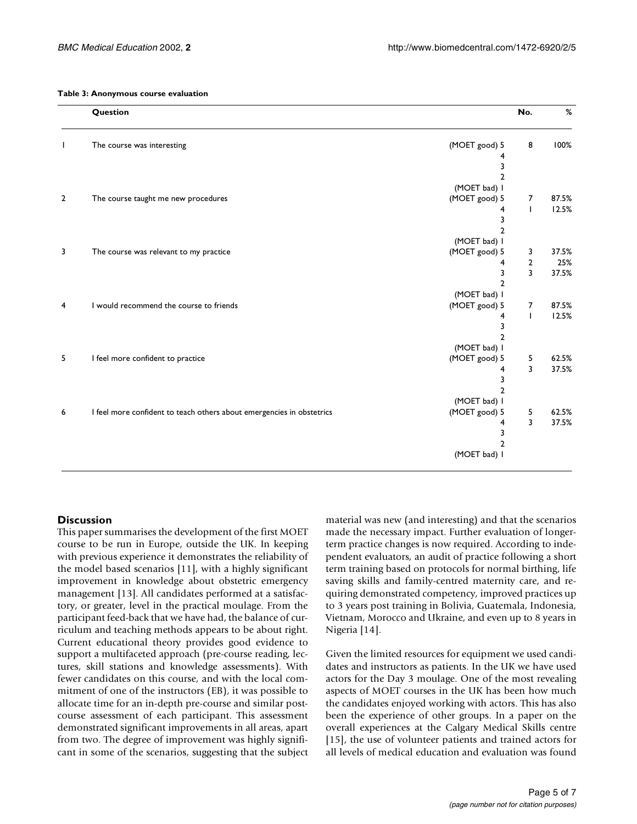#### **Table 3: Anonymous course evaluation**

|                | Question                                                                               | No.                     | %     |
|----------------|----------------------------------------------------------------------------------------|-------------------------|-------|
| ı              | (MOET good) 5<br>The course was interesting                                            | 8                       | 100%  |
|                |                                                                                        |                         |       |
|                | 3                                                                                      |                         |       |
|                | $\overline{2}$                                                                         |                         |       |
|                | (MOET bad) I                                                                           |                         |       |
| $\overline{2}$ | (MOET good) 5<br>The course taught me new procedures                                   | 7                       | 87.5% |
|                | 4                                                                                      | $\mathbf{I}$            | 12.5% |
|                | 3                                                                                      |                         |       |
|                | $\overline{2}$                                                                         |                         |       |
|                | (MOET bad) I                                                                           |                         |       |
| 3              | (MOET good) 5<br>The course was relevant to my practice                                | 3                       | 37.5% |
|                | 4                                                                                      | $\mathbf 2$             | 25%   |
|                | 3                                                                                      | $\overline{\mathbf{3}}$ | 37.5% |
|                | $\overline{2}$                                                                         |                         |       |
|                | (MOET bad) I                                                                           |                         |       |
| 4              | (MOET good) 5<br>I would recommend the course to friends                               | 7                       | 87.5% |
|                | 4                                                                                      | $\mathbf{I}$            | 12.5% |
|                | 3                                                                                      |                         |       |
|                | $\overline{2}$                                                                         |                         |       |
|                | (MOET bad) I                                                                           |                         |       |
| 5              | (MOET good) 5<br>I feel more confident to practice                                     | 5                       | 62.5% |
|                | 4                                                                                      | 3                       | 37.5% |
|                | 3                                                                                      |                         |       |
|                | $\overline{2}$                                                                         |                         |       |
|                | (MOET bad) I                                                                           |                         |       |
| 6              | (MOET good) 5<br>I feel more confident to teach others about emergencies in obstetrics | 5                       | 62.5% |
|                | 4                                                                                      | 3                       | 37.5% |
|                | 3                                                                                      |                         |       |
|                | $\overline{2}$                                                                         |                         |       |
|                | (MOET bad) I                                                                           |                         |       |

#### **Discussion**

This paper summarises the development of the first MOET course to be run in Europe, outside the UK. In keeping with previous experience it demonstrates the reliability of the model based scenarios [11], with a highly significant improvement in knowledge about obstetric emergency management [13]. All candidates performed at a satisfactory, or greater, level in the practical moulage. From the participant feed-back that we have had, the balance of curriculum and teaching methods appears to be about right. Current educational theory provides good evidence to support a multifaceted approach (pre-course reading, lectures, skill stations and knowledge assessments). With fewer candidates on this course, and with the local commitment of one of the instructors (EB), it was possible to allocate time for an in-depth pre-course and similar postcourse assessment of each participant. This assessment demonstrated significant improvements in all areas, apart from two. The degree of improvement was highly significant in some of the scenarios, suggesting that the subject material was new (and interesting) and that the scenarios made the necessary impact. Further evaluation of longerterm practice changes is now required. According to independent evaluators, an audit of practice following a short term training based on protocols for normal birthing, life saving skills and family-centred maternity care, and requiring demonstrated competency, improved practices up to 3 years post training in Bolivia, Guatemala, Indonesia, Vietnam, Morocco and Ukraine, and even up to 8 years in Nigeria [14].

Given the limited resources for equipment we used candidates and instructors as patients. In the UK we have used actors for the Day 3 moulage. One of the most revealing aspects of MOET courses in the UK has been how much the candidates enjoyed working with actors. This has also been the experience of other groups. In a paper on the overall experiences at the Calgary Medical Skills centre [15], the use of volunteer patients and trained actors for all levels of medical education and evaluation was found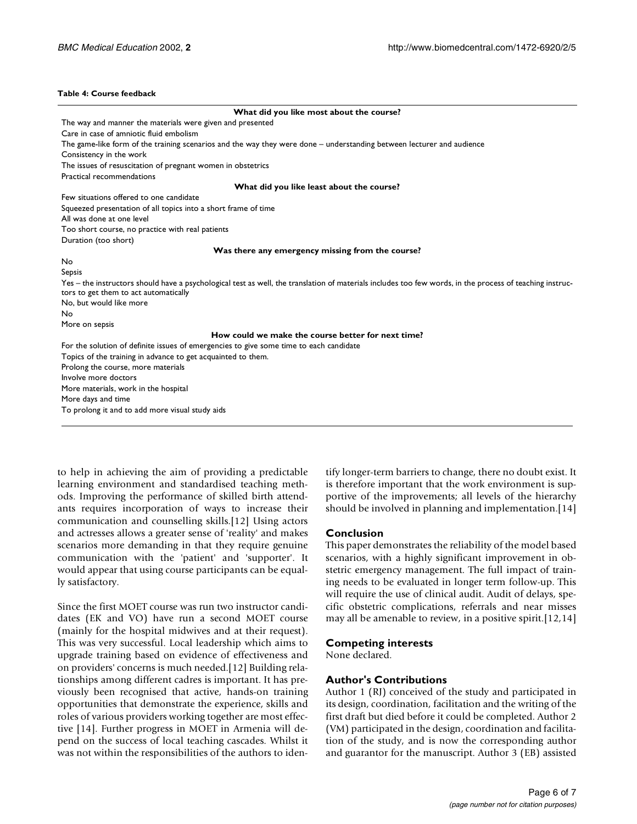#### **Table 4: Course feedback**

| What did you like most about the course?                                                                                                                                                          |
|---------------------------------------------------------------------------------------------------------------------------------------------------------------------------------------------------|
| The way and manner the materials were given and presented                                                                                                                                         |
| Care in case of amniotic fluid embolism                                                                                                                                                           |
| The game-like form of the training scenarios and the way they were done – understanding between lecturer and audience                                                                             |
| Consistency in the work                                                                                                                                                                           |
| The issues of resuscitation of pregnant women in obstetrics                                                                                                                                       |
| Practical recommendations                                                                                                                                                                         |
| What did you like least about the course?                                                                                                                                                         |
| Few situations offered to one candidate                                                                                                                                                           |
| Squeezed presentation of all topics into a short frame of time                                                                                                                                    |
| All was done at one level                                                                                                                                                                         |
| Too short course, no practice with real patients                                                                                                                                                  |
| Duration (too short)                                                                                                                                                                              |
| Was there any emergency missing from the course?                                                                                                                                                  |
| No                                                                                                                                                                                                |
| Sepsis                                                                                                                                                                                            |
| Yes – the instructors should have a psychological test as well, the translation of materials includes too few words, in the process of teaching instruc-<br>tors to get them to act automatically |
| No, but would like more                                                                                                                                                                           |
| No                                                                                                                                                                                                |
| More on sepsis                                                                                                                                                                                    |
| How could we make the course better for next time?                                                                                                                                                |
| For the solution of definite issues of emergencies to give some time to each candidate                                                                                                            |
| Topics of the training in advance to get acquainted to them.                                                                                                                                      |
| Prolong the course, more materials                                                                                                                                                                |
| Involve more doctors                                                                                                                                                                              |
| More materials, work in the hospital                                                                                                                                                              |
| More days and time                                                                                                                                                                                |
| To prolong it and to add more visual study aids                                                                                                                                                   |
|                                                                                                                                                                                                   |

to help in achieving the aim of providing a predictable learning environment and standardised teaching methods. Improving the performance of skilled birth attendants requires incorporation of ways to increase their communication and counselling skills.[12] Using actors and actresses allows a greater sense of 'reality' and makes scenarios more demanding in that they require genuine communication with the 'patient' and 'supporter'. It would appear that using course participants can be equally satisfactory.

Since the first MOET course was run two instructor candidates (EK and VO) have run a second MOET course (mainly for the hospital midwives and at their request). This was very successful. Local leadership which aims to upgrade training based on evidence of effectiveness and on providers' concerns is much needed.[12] Building relationships among different cadres is important. It has previously been recognised that active, hands-on training opportunities that demonstrate the experience, skills and roles of various providers working together are most effective [14]. Further progress in MOET in Armenia will depend on the success of local teaching cascades. Whilst it was not within the responsibilities of the authors to identify longer-term barriers to change, there no doubt exist. It is therefore important that the work environment is supportive of the improvements; all levels of the hierarchy should be involved in planning and implementation.[14]

#### **Conclusion**

This paper demonstrates the reliability of the model based scenarios, with a highly significant improvement in obstetric emergency management. The full impact of training needs to be evaluated in longer term follow-up. This will require the use of clinical audit. Audit of delays, specific obstetric complications, referrals and near misses may all be amenable to review, in a positive spirit.[12,14]

#### **Competing interests**

None declared.

#### **Author's Contributions**

Author 1 (RJ) conceived of the study and participated in its design, coordination, facilitation and the writing of the first draft but died before it could be completed. Author 2 (VM) participated in the design, coordination and facilitation of the study, and is now the corresponding author and guarantor for the manuscript. Author 3 (EB) assisted